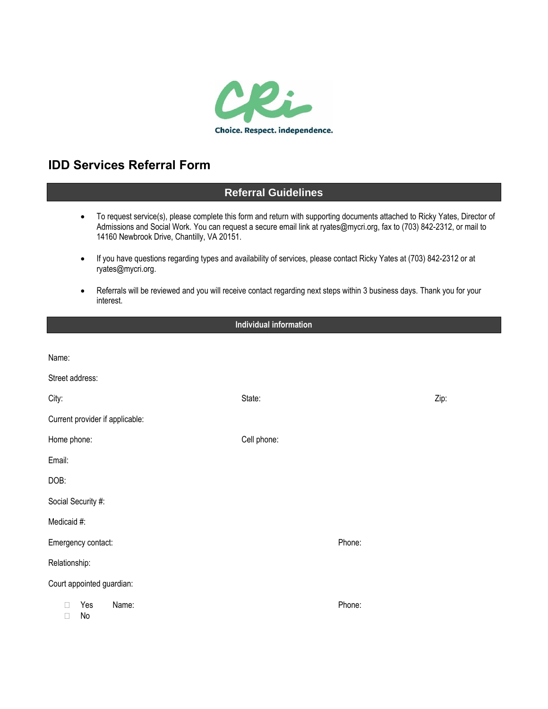

# **IDD Services Referral Form**

## **Referral Guidelines**

- To request service(s), please complete this form and return with supporting documents attached to Ricky Yates, Director of Admissions and Social Work. You can request a secure email link at ryates@mycri.org, fax to (703) 842-2312, or mail to 14160 Newbrook Drive, Chantilly, VA 20151.
- If you have questions regarding types and availability of services, please contact Ricky Yates at (703) 842-2312 or at ryates@mycri.org.
- Referrals will be reviewed and you will receive contact regarding next steps within 3 business days. Thank you for your interest.

### **Individual information**

| Name:                                        |             |      |  |  |
|----------------------------------------------|-------------|------|--|--|
| Street address:                              |             |      |  |  |
| City:                                        | State:      | Zip: |  |  |
| Current provider if applicable:              |             |      |  |  |
| Home phone:                                  | Cell phone: |      |  |  |
| Email:                                       |             |      |  |  |
| DOB:                                         |             |      |  |  |
| Social Security #:                           |             |      |  |  |
| Medicaid #:                                  |             |      |  |  |
| Emergency contact:                           | Phone:      |      |  |  |
| Relationship:                                |             |      |  |  |
| Court appointed guardian:                    |             |      |  |  |
| Name:<br>Yes<br>$\mathbf{L}$<br>No<br>$\Box$ | Phone:      |      |  |  |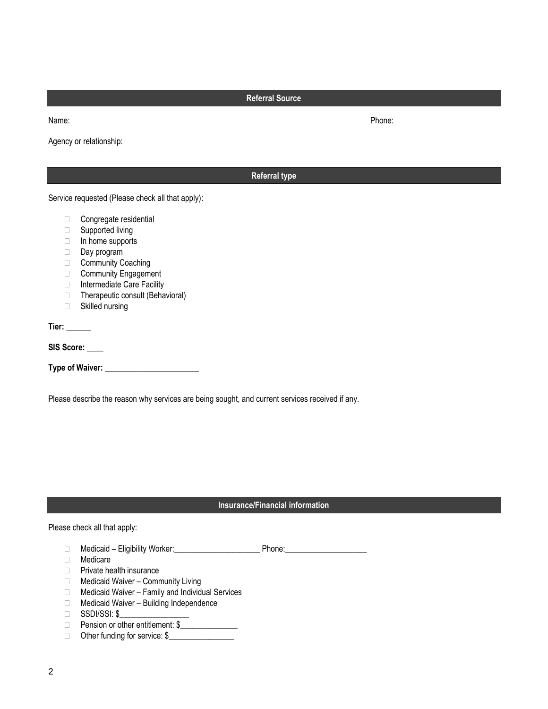**Referral Source**

Agency or relationship:

|              | <b>Referral type</b>                             |  |
|--------------|--------------------------------------------------|--|
|              | Service requested (Please check all that apply): |  |
| Ш            | Congregate residential                           |  |
| П            | Supported living                                 |  |
| $\Box$       | In home supports                                 |  |
| □            | Day program                                      |  |
| П            | <b>Community Coaching</b>                        |  |
| □            | <b>Community Engagement</b>                      |  |
| П            | Intermediate Care Facility                       |  |
| $\Box$       | Therapeutic consult (Behavioral)                 |  |
| П            | Skilled nursing                                  |  |
| Tier: $\_\_$ |                                                  |  |
|              | SIS Score: ____                                  |  |
|              |                                                  |  |
|              |                                                  |  |

Please describe the reason why services are being sought, and current services received if any.

## **Insurance/Financial information**

Please check all that apply:

- Medicaid Eligibility Worker:\_\_\_\_\_\_\_\_\_\_\_\_\_\_\_\_\_\_\_\_\_ Phone:\_\_\_\_\_\_\_\_\_\_\_\_\_\_\_\_\_\_\_\_
- Medicare
- **Private health insurance**
- □ Medicaid Waiver Community Living
- $\Box$  Medicaid Waiver Family and Individual Services
- □ Medicaid Waiver Building Independence
- $\Box$  SSDI/SSI: \$
- □ Pension or other entitlement: \$
- □ Other funding for service: \$

Name: Phone: